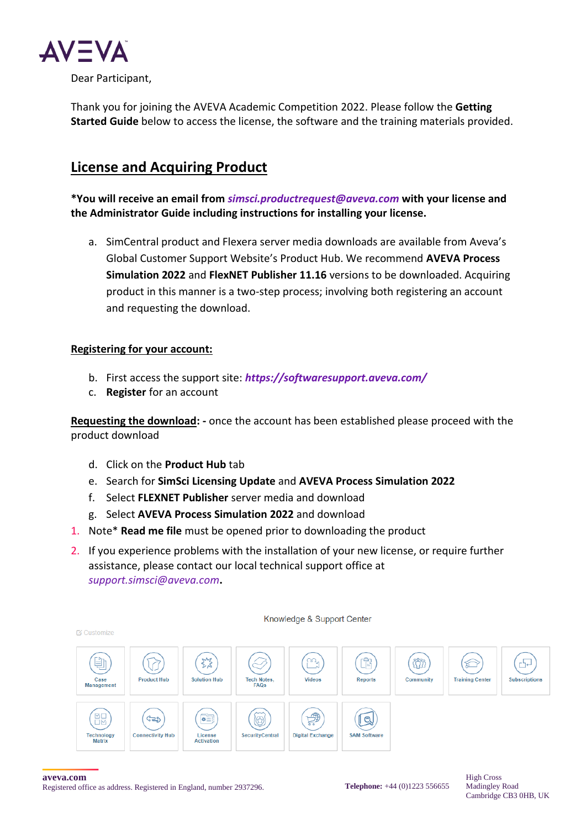

Thank you for joining the AVEVA Academic Competition 2022. Please follow the **Getting Started Guide** below to access the license, the software and the training materials provided.

# **License and Acquiring Product**

**\*You will receive an email from** *[simsci.productrequest@aveva.com](mailto:simsci.productrequest@aveva.com)* **with your license and the Administrator Guide including instructions for installing your license.** 

a. SimCentral product and Flexera server media downloads are available from Aveva's Global Customer Support Website's Product Hub. We recommend **AVEVA Process Simulation 2022** and **FlexNET Publisher 11.16** versions to be downloaded. Acquiring product in this manner is a two-step process; involving both registering an account and requesting the download.

### **Registering for your account:**

- b. First access the support site: *<https://softwaresupport.aveva.com/>*
- c. **Register** for an account

**Requesting the download: -** once the account has been established please proceed with the product download

- d. Click on the **Product Hub** tab
- e. Search for **SimSci Licensing Update** and **AVEVA Process Simulation 2022**
- f. Select **FLEXNET Publisher** server media and download
- g. Select **AVEVA Process Simulation 2022** and download
- 1. Note\* **Read me file** must be opened prior to downloading the product
- 2. If you experience problems with the installation of your new license, or require further assistance, please contact our local technical support office at *[support.simsci@aveva.com](mailto:support.simsci@aveva.com)***.**



#### **aveva.com**

Registered office as address. Registered in England, number 2937296.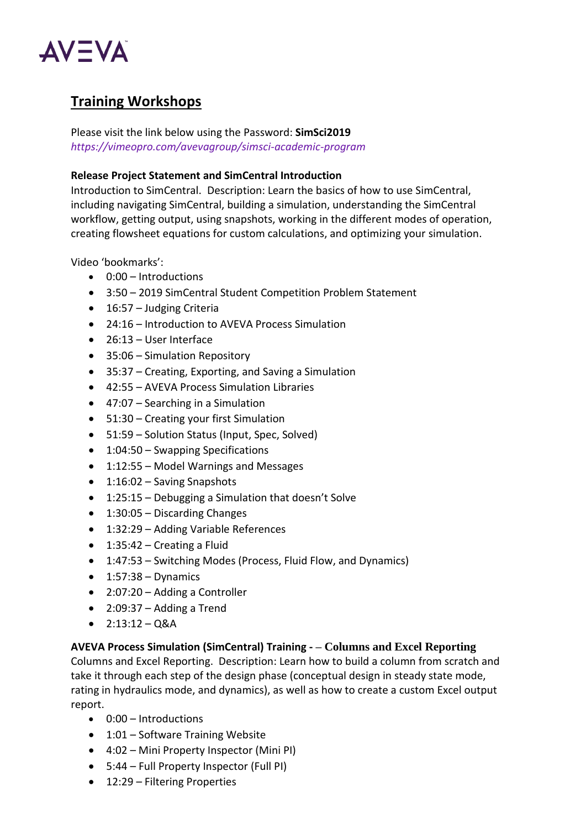

# **Training Workshops**

Please visit the link below using the Password: **SimSci2019** *<https://vimeopro.com/avevagroup/simsci-academic-program>*

#### **Release Project Statement and SimCentral Introduction**

Introduction to SimCentral. Description: Learn the basics of how to use SimCentral, including navigating SimCentral, building a simulation, understanding the SimCentral workflow, getting output, using snapshots, working in the different modes of operation, creating flowsheet equations for custom calculations, and optimizing your simulation.

Video 'bookmarks':

- 0:00 Introductions
- 3:50 2019 SimCentral Student Competition Problem Statement
- 16:57 Judging Criteria
- 24:16 Introduction to AVEVA Process Simulation
- 26:13 User Interface
- 35:06 Simulation Repository
- 35:37 Creating, Exporting, and Saving a Simulation
- 42:55 AVEVA Process Simulation Libraries
- 47:07 Searching in a Simulation
- 51:30 Creating your first Simulation
- 51:59 Solution Status (Input, Spec, Solved)
- 1:04:50 Swapping Specifications
- 1:12:55 Model Warnings and Messages
- 1:16:02 Saving Snapshots
- 1:25:15 Debugging a Simulation that doesn't Solve
- 1:30:05 Discarding Changes
- 1:32:29 Adding Variable References
- 1:35:42 Creating a Fluid
- 1:47:53 Switching Modes (Process, Fluid Flow, and Dynamics)
- $\bullet$  1:57:38 Dynamics
- 2:07:20 Adding a Controller
- 2:09:37 Adding a Trend
- $\bullet$  2:13:12 Q&A

#### **AVEVA Process Simulation (SimCentral) Training - – Columns and Excel Reporting**

Columns and Excel Reporting. Description: Learn how to build a column from scratch and take it through each step of the design phase (conceptual design in steady state mode, rating in hydraulics mode, and dynamics), as well as how to create a custom Excel output report.

- 0:00 Introductions
- 1:01 Software Training Website
- 4:02 Mini Property Inspector (Mini PI)
- 5:44 Full Property Inspector (Full PI)
- 12:29 Filtering Properties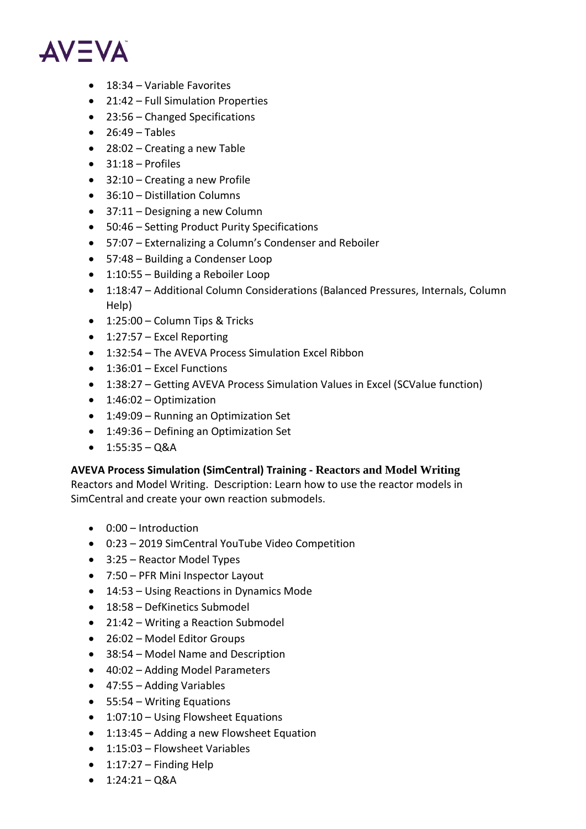

- 18:34 Variable Favorites
- 21:42 Full Simulation Properties
- 23:56 Changed Specifications
- $\bullet$  26:49 Tables
- 28:02 Creating a new Table
- $\bullet$  31:18 Profiles
- 32:10 Creating a new Profile
- 36:10 Distillation Columns
- 37:11 Designing a new Column
- 50:46 Setting Product Purity Specifications
- 57:07 Externalizing a Column's Condenser and Reboiler
- 57:48 Building a Condenser Loop
- 1:10:55 Building a Reboiler Loop
- 1:18:47 Additional Column Considerations (Balanced Pressures, Internals, Column Help)
- 1:25:00 Column Tips & Tricks
- 1:27:57 Excel Reporting
- 1:32:54 The AVEVA Process Simulation Excel Ribbon
- 1:36:01 Excel Functions
- 1:38:27 Getting AVEVA Process Simulation Values in Excel (SCValue function)
- 1:46:02 Optimization
- 1:49:09 Running an Optimization Set
- 1:49:36 Defining an Optimization Set
- $1:55:35 Q&A$

### **AVEVA Process Simulation (SimCentral) Training - Reactors and Model Writing**

Reactors and Model Writing. Description: Learn how to use the reactor models in SimCentral and create your own reaction submodels.

- 0:00 Introduction
- 0:23 2019 SimCentral YouTube Video Competition
- 3:25 Reactor Model Types
- 7:50 PFR Mini Inspector Layout
- 14:53 Using Reactions in Dynamics Mode
- 18:58 DefKinetics Submodel
- 21:42 Writing a Reaction Submodel
- 26:02 Model Editor Groups
- 38:54 Model Name and Description
- 40:02 Adding Model Parameters
- 47:55 Adding Variables
- 55:54 Writing Equations
- 1:07:10 Using Flowsheet Equations
- 1:13:45 Adding a new Flowsheet Equation
- 1:15:03 Flowsheet Variables
- $\bullet$  1:17:27 Finding Help
- $1:24:21 Q&A$